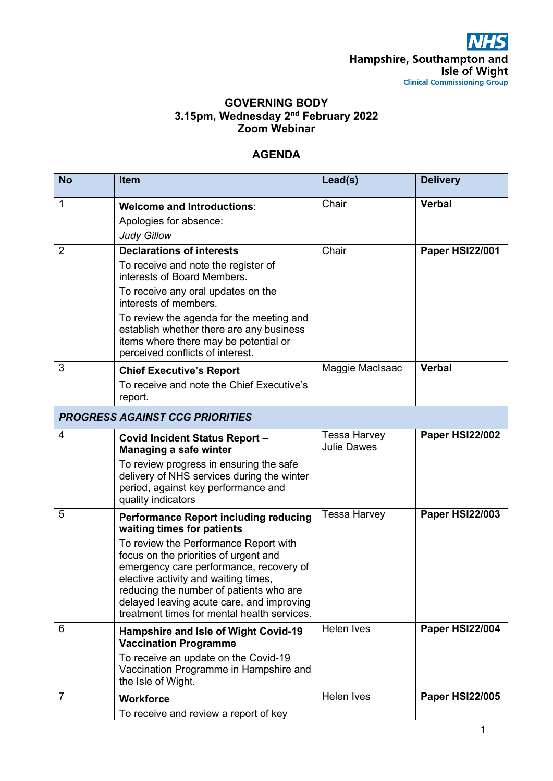## **GOVERNING BODY 3.15pm, Wednesday 2nd February 2022 Zoom Webinar**

## **AGENDA**

| <b>No</b>                              | <b>Item</b>                                                                                                                                                                                                                                                                                                                                                                            | Lead(s)                                   | <b>Delivery</b>        |  |
|----------------------------------------|----------------------------------------------------------------------------------------------------------------------------------------------------------------------------------------------------------------------------------------------------------------------------------------------------------------------------------------------------------------------------------------|-------------------------------------------|------------------------|--|
| 1                                      | <b>Welcome and Introductions:</b><br>Apologies for absence:<br><b>Judy Gillow</b>                                                                                                                                                                                                                                                                                                      | Chair                                     | <b>Verbal</b>          |  |
| $\overline{2}$                         | <b>Declarations of interests</b><br>To receive and note the register of<br>interests of Board Members.<br>To receive any oral updates on the<br>interests of members.<br>To review the agenda for the meeting and<br>establish whether there are any business<br>items where there may be potential or<br>perceived conflicts of interest.                                             | Chair                                     | Paper HSI22/001        |  |
| 3                                      | <b>Chief Executive's Report</b><br>To receive and note the Chief Executive's<br>report.                                                                                                                                                                                                                                                                                                | Maggie MacIsaac                           | <b>Verbal</b>          |  |
| <b>PROGRESS AGAINST CCG PRIORITIES</b> |                                                                                                                                                                                                                                                                                                                                                                                        |                                           |                        |  |
| 4                                      | <b>Covid Incident Status Report -</b><br>Managing a safe winter<br>To review progress in ensuring the safe<br>delivery of NHS services during the winter<br>period, against key performance and<br>quality indicators                                                                                                                                                                  | <b>Tessa Harvey</b><br><b>Julie Dawes</b> | Paper HSI22/002        |  |
| 5                                      | <b>Performance Report including reducing</b><br>waiting times for patients<br>To review the Performance Report with<br>focus on the priorities of urgent and<br>emergency care performance, recovery of<br>elective activity and waiting times,<br>reducing the number of patients who are<br>delayed leaving acute care, and improving<br>treatment times for mental health services. | <b>Tessa Harvey</b>                       | <b>Paper HSI22/003</b> |  |
| 6                                      | <b>Hampshire and Isle of Wight Covid-19</b><br><b>Vaccination Programme</b><br>To receive an update on the Covid-19<br>Vaccination Programme in Hampshire and<br>the Isle of Wight.                                                                                                                                                                                                    | Helen Ives                                | Paper HSI22/004        |  |
| $\overline{7}$                         | <b>Workforce</b><br>To receive and review a report of key                                                                                                                                                                                                                                                                                                                              | Helen Ives                                | <b>Paper HSI22/005</b> |  |